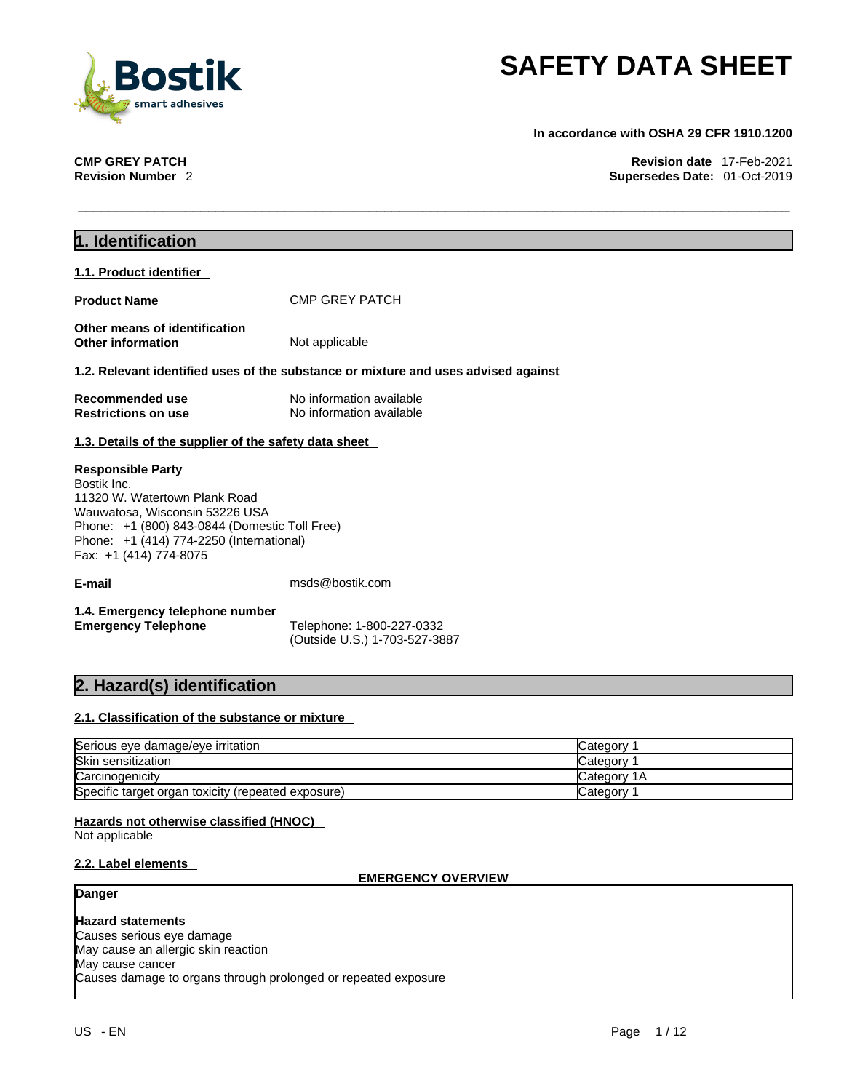

**In accordance with OSHA 29 CFR 1910.1200** 

**CMP GREY PATCH Revision date** 17-Feb-2021 **Supersedes Date: 01-Oct-2019** 

| 1. Identification                                                                                                                                                                                                                 |                                                                                    |
|-----------------------------------------------------------------------------------------------------------------------------------------------------------------------------------------------------------------------------------|------------------------------------------------------------------------------------|
| 1.1. Product identifier                                                                                                                                                                                                           |                                                                                    |
| <b>Product Name</b>                                                                                                                                                                                                               | <b>CMP GREY PATCH</b>                                                              |
| Other means of identification<br>Other information                                                                                                                                                                                | Not applicable                                                                     |
|                                                                                                                                                                                                                                   | 1.2. Relevant identified uses of the substance or mixture and uses advised against |
| <b>Recommended use</b><br><b>Restrictions on use</b>                                                                                                                                                                              | No information available<br>No information available                               |
| 1.3. Details of the supplier of the safety data sheet                                                                                                                                                                             |                                                                                    |
| <b>Responsible Party</b><br>Bostik Inc.<br>11320 W. Watertown Plank Road<br>Wauwatosa, Wisconsin 53226 USA<br>Phone: +1 (800) 843-0844 (Domestic Toll Free)<br>Phone: +1 (414) 774-2250 (International)<br>Fax: +1 (414) 774-8075 |                                                                                    |
| E-mail                                                                                                                                                                                                                            | msds@bostik.com                                                                    |
| 1.4. Emergency telephone number<br><b>Emergency Telephone</b>                                                                                                                                                                     | Telephone: 1-800-227-0332<br>(Outside U.S.) 1-703-527-3887                         |

## **2. Hazard(s) identification**

## **2.1. Classification of the substance or mixture**

| Serious eye damage/eye irritation                  | Category            |
|----------------------------------------------------|---------------------|
| Skin sensitization                                 | ∴category ⊂         |
| Carcinogenicity                                    | <b>ICategory 1A</b> |
| Specific target organ toxicity (repeated exposure) | Category            |

## **Hazards not otherwise classified (HNOC)**

Not applicable

## **2.2. Label elements**

## **EMERGENCY OVERVIEW**

## **Danger**

**Hazard statements** Causes serious eye damage May cause an allergic skin reaction May cause cancer Causes damage to organs through prolonged or repeated exposure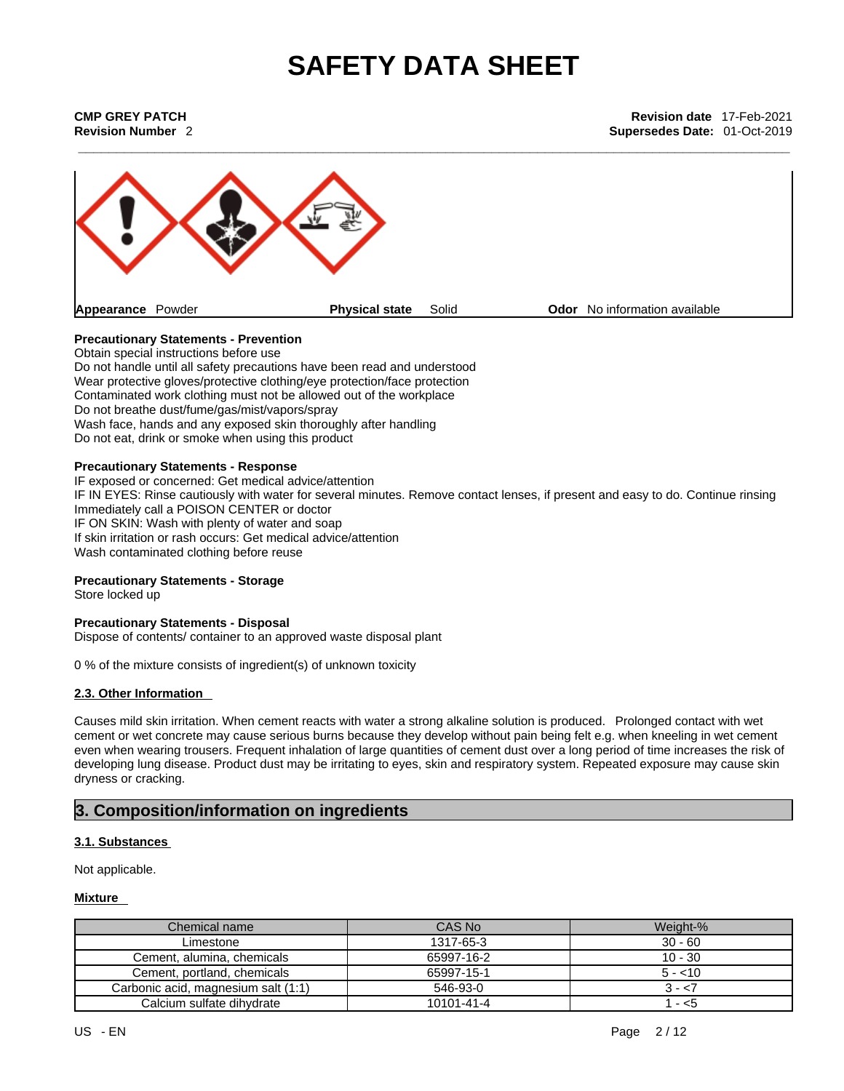**Revision Number** 2 **Supersedes Date:** 01-Oct-2019



## **Precautionary Statements - Prevention**

Obtain special instructions before use Do not handle until all safety precautions have been read and understood Wear protective gloves/protective clothing/eye protection/face protection Contaminated work clothing must not be allowed out of the workplace Do not breathe dust/fume/gas/mist/vapors/spray Wash face, hands and any exposed skin thoroughly after handling Do not eat, drink or smoke when using this product

## **Precautionary Statements - Response**

IF exposed or concerned: Get medical advice/attention IF IN EYES: Rinse cautiously with water for several minutes. Remove contact lenses, if present and easy to do. Continue rinsing Immediately call a POISON CENTER or doctor IF ON SKIN: Wash with plenty of water and soap If skin irritation or rash occurs: Get medical advice/attention Wash contaminated clothing before reuse

## **Precautionary Statements - Storage**

Store locked up

## **Precautionary Statements - Disposal**

Dispose of contents/ container to an approved waste disposal plant

0 % of the mixture consists of ingredient(s) of unknown toxicity

## **2.3. Other Information**

Causes mild skin irritation. When cement reacts with water a strong alkaline solution is produced. Prolonged contact with wet cement or wet concrete may cause serious burns because they develop without pain being felt e.g. when kneeling in wet cement even when wearing trousers. Frequent inhalation of large quantities of cement dust over a long period of time increases the risk of developing lung disease. Product dust may be irritating to eyes, skin and respiratory system. Repeated exposure may cause skin dryness or cracking.

## **3. Composition/information on ingredients**

## **3.1. Substances**

Not applicable.

## **Mixture**

| Chemical name                       | CAS No     | Weight-%  |
|-------------------------------------|------------|-----------|
| Limestone                           | 1317-65-3  | $30 - 60$ |
| Cement, alumina, chemicals          | 65997-16-2 | $10 - 30$ |
| Cement, portland, chemicals         | 65997-15-1 | $5 - 10$  |
| Carbonic acid, magnesium salt (1:1) | 546-93-0   | 3 - <7    |
| Calcium sulfate dihydrate           | 10101-41-4 | - <5      |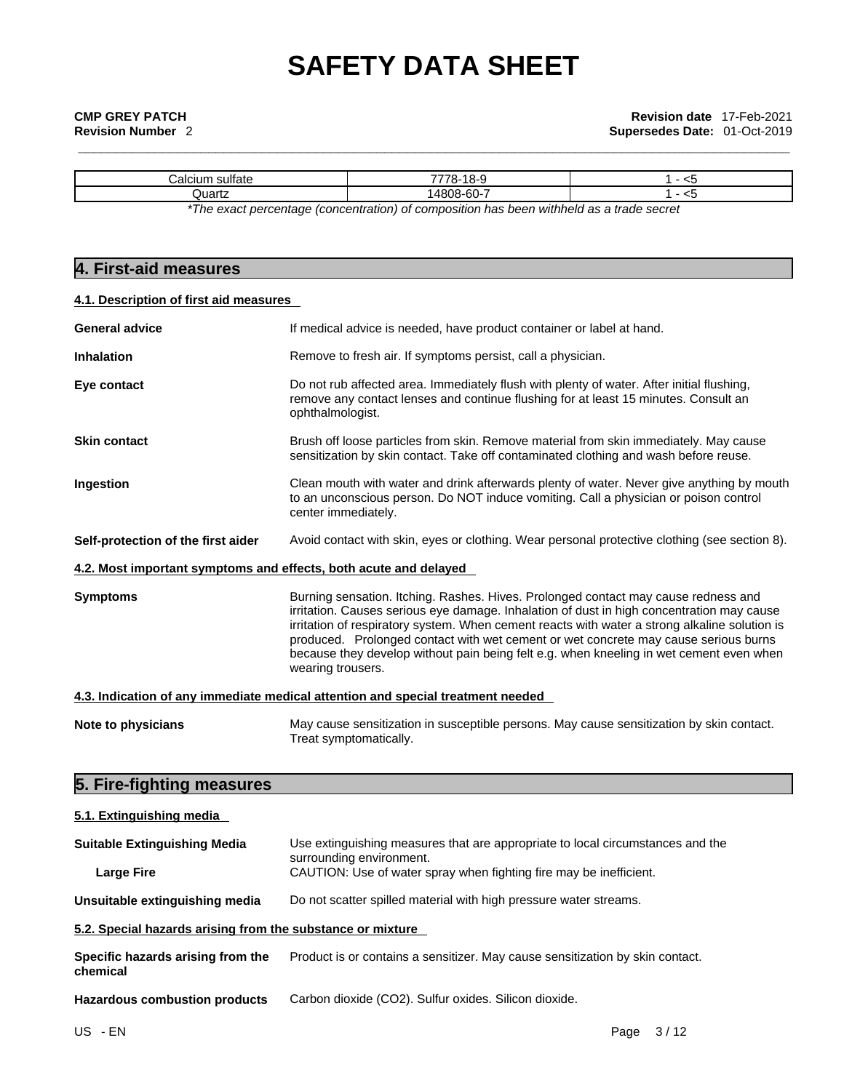| talc:<br>sunait | 7770               | -- |
|-----------------|--------------------|----|
| Quartz          | .08-60-            | ∼  |
|                 | .<br>$\sim$ $\sim$ | .  |

*\*The exact percentage (concentration) ofcomposition has been withheld as a trade secret*

## **4. First-aid measures**

## **4.1. Description of first aid measures**

| <b>General advice</b>                                            | If medical advice is needed, have product container or label at hand.                                                                                                                                                                                                                                                                                                                                                                                                                   |  |  |  |  |  |
|------------------------------------------------------------------|-----------------------------------------------------------------------------------------------------------------------------------------------------------------------------------------------------------------------------------------------------------------------------------------------------------------------------------------------------------------------------------------------------------------------------------------------------------------------------------------|--|--|--|--|--|
| <b>Inhalation</b>                                                | Remove to fresh air. If symptoms persist, call a physician.                                                                                                                                                                                                                                                                                                                                                                                                                             |  |  |  |  |  |
| Eye contact                                                      | Do not rub affected area. Immediately flush with plenty of water. After initial flushing,<br>remove any contact lenses and continue flushing for at least 15 minutes. Consult an<br>ophthalmologist.                                                                                                                                                                                                                                                                                    |  |  |  |  |  |
| <b>Skin contact</b>                                              | Brush off loose particles from skin. Remove material from skin immediately. May cause<br>sensitization by skin contact. Take off contaminated clothing and wash before reuse.                                                                                                                                                                                                                                                                                                           |  |  |  |  |  |
| Ingestion                                                        | Clean mouth with water and drink afterwards plenty of water. Never give anything by mouth<br>to an unconscious person. Do NOT induce vomiting. Call a physician or poison control<br>center immediately.                                                                                                                                                                                                                                                                                |  |  |  |  |  |
| Self-protection of the first aider                               | Avoid contact with skin, eyes or clothing. Wear personal protective clothing (see section 8).                                                                                                                                                                                                                                                                                                                                                                                           |  |  |  |  |  |
| 4.2. Most important symptoms and effects, both acute and delayed |                                                                                                                                                                                                                                                                                                                                                                                                                                                                                         |  |  |  |  |  |
| <b>Symptoms</b>                                                  | Burning sensation. Itching. Rashes. Hives. Prolonged contact may cause redness and<br>irritation. Causes serious eye damage. Inhalation of dust in high concentration may cause<br>irritation of respiratory system. When cement reacts with water a strong alkaline solution is<br>produced. Prolonged contact with wet cement or wet concrete may cause serious burns<br>because they develop without pain being felt e.g. when kneeling in wet cement even when<br>wearing trousers. |  |  |  |  |  |
|                                                                  | 4.3. Indication of any immediate medical attention and special treatment needed                                                                                                                                                                                                                                                                                                                                                                                                         |  |  |  |  |  |
| Note to physicians                                               | May cause sensitization in susceptible persons. May cause sensitization by skin contact.<br>Treat symptomatically.                                                                                                                                                                                                                                                                                                                                                                      |  |  |  |  |  |
| 5. Fire-fighting measures                                        |                                                                                                                                                                                                                                                                                                                                                                                                                                                                                         |  |  |  |  |  |
| 5.1. Extinguishing media                                         |                                                                                                                                                                                                                                                                                                                                                                                                                                                                                         |  |  |  |  |  |

| <b>Suitable Extinguishing Media</b>                        | Use extinguishing measures that are appropriate to local circumstances and the<br>surrounding environment. |
|------------------------------------------------------------|------------------------------------------------------------------------------------------------------------|
| <b>Large Fire</b>                                          | CAUTION: Use of water spray when fighting fire may be inefficient.                                         |
| Unsuitable extinguishing media                             | Do not scatter spilled material with high pressure water streams.                                          |
| 5.2. Special hazards arising from the substance or mixture |                                                                                                            |
| Specific hazards arising from the                          | Product is or contains a sensitizer. May cause sensitization by skin contact.                              |

## **Specific hazards arising from the chemical**

**Hazardous combustion products** Carbon dioxide (CO2). Sulfur oxides. Silicon dioxide.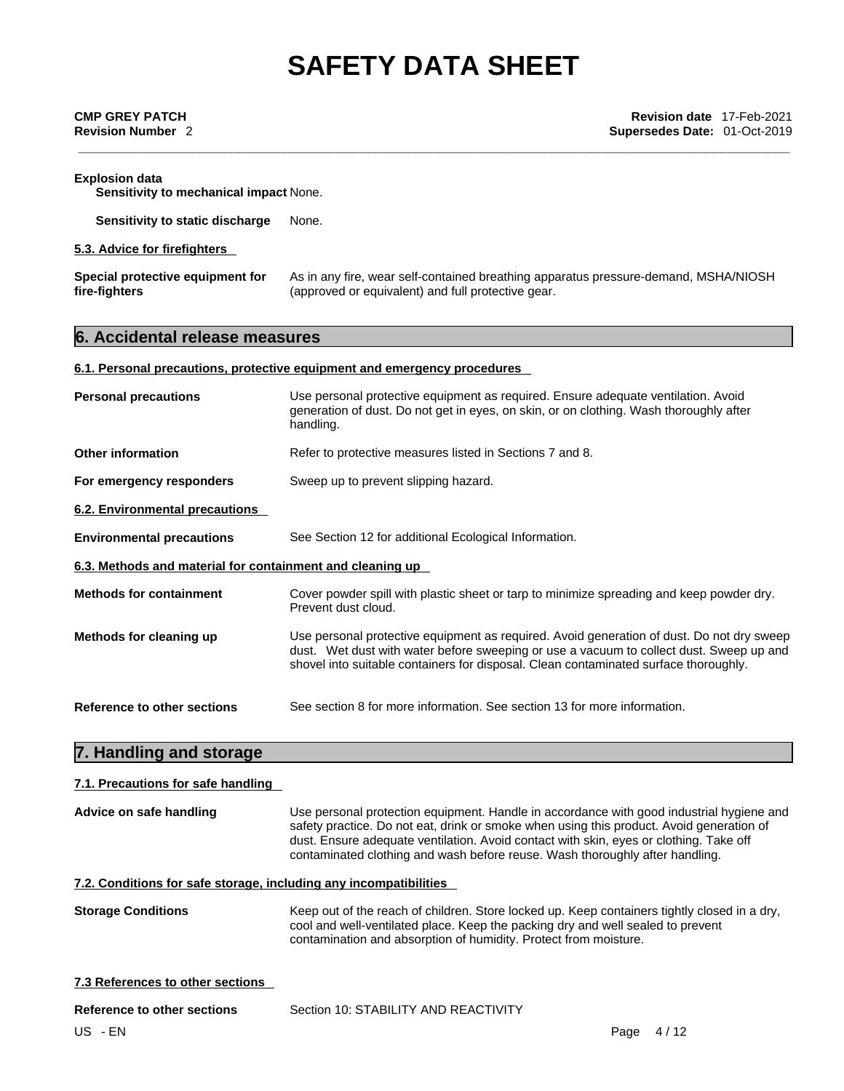| <b>Explosion data</b><br>Sensitivity to mechanical impact None. |                                                                                                                                           |  |
|-----------------------------------------------------------------|-------------------------------------------------------------------------------------------------------------------------------------------|--|
| Sensitivity to static discharge                                 | None.                                                                                                                                     |  |
| 5.3. Advice for firefighters                                    |                                                                                                                                           |  |
| Special protective equipment for<br>fire-fighters               | As in any fire, wear self-contained breathing apparatus pressure-demand, MSHA/NIOSH<br>(approved or equivalent) and full protective gear. |  |
| 6. Accidental release measures                                  |                                                                                                                                           |  |

## **6.1. Personal precautions, protective equipment and emergency procedures**

| <b>Personal precautions</b>                               | Use personal protective equipment as required. Ensure adequate ventilation. Avoid<br>generation of dust. Do not get in eyes, on skin, or on clothing. Wash thoroughly after<br>handling.                                                                                     |
|-----------------------------------------------------------|------------------------------------------------------------------------------------------------------------------------------------------------------------------------------------------------------------------------------------------------------------------------------|
| Other information                                         | Refer to protective measures listed in Sections 7 and 8.                                                                                                                                                                                                                     |
| For emergency responders                                  | Sweep up to prevent slipping hazard.                                                                                                                                                                                                                                         |
| <b>6.2. Environmental precautions</b>                     |                                                                                                                                                                                                                                                                              |
| <b>Environmental precautions</b>                          | See Section 12 for additional Ecological Information.                                                                                                                                                                                                                        |
| 6.3. Methods and material for containment and cleaning up |                                                                                                                                                                                                                                                                              |
| <b>Methods for containment</b>                            | Cover powder spill with plastic sheet or tarp to minimize spreading and keep powder dry.<br>Prevent dust cloud.                                                                                                                                                              |
| Methods for cleaning up                                   | Use personal protective equipment as required. Avoid generation of dust. Do not dry sweep<br>dust. Wet dust with water before sweeping or use a vacuum to collect dust. Sweep up and<br>shovel into suitable containers for disposal. Clean contaminated surface thoroughly. |
| Reference to other sections                               | See section 8 for more information. See section 13 for more information.                                                                                                                                                                                                     |

## **7. Handling and storage**

## **7.1. Precautions for safe handling**

| Advice on safe handling                                           | Use personal protection equipment. Handle in accordance with good industrial hygiene and<br>safety practice. Do not eat, drink or smoke when using this product. Avoid generation of<br>dust. Ensure adequate ventilation. Avoid contact with skin, eyes or clothing. Take off<br>contaminated clothing and wash before reuse. Wash thoroughly after handling. |  |  |
|-------------------------------------------------------------------|----------------------------------------------------------------------------------------------------------------------------------------------------------------------------------------------------------------------------------------------------------------------------------------------------------------------------------------------------------------|--|--|
| 7.2. Conditions for safe storage, including any incompatibilities |                                                                                                                                                                                                                                                                                                                                                                |  |  |
| <b>Storage Conditions</b>                                         | Keep out of the reach of children. Store locked up. Keep containers tightly closed in a dry,<br>cool and well-ventilated place. Keep the packing dry and well sealed to prevent<br>contamination and absorption of humidity. Protect from moisture.                                                                                                            |  |  |
| 7.3 References to other sections                                  |                                                                                                                                                                                                                                                                                                                                                                |  |  |
| Reference to other sections                                       | Section 10: STABILITY AND REACTIVITY                                                                                                                                                                                                                                                                                                                           |  |  |
| US - EN                                                           | 4/12<br>Page                                                                                                                                                                                                                                                                                                                                                   |  |  |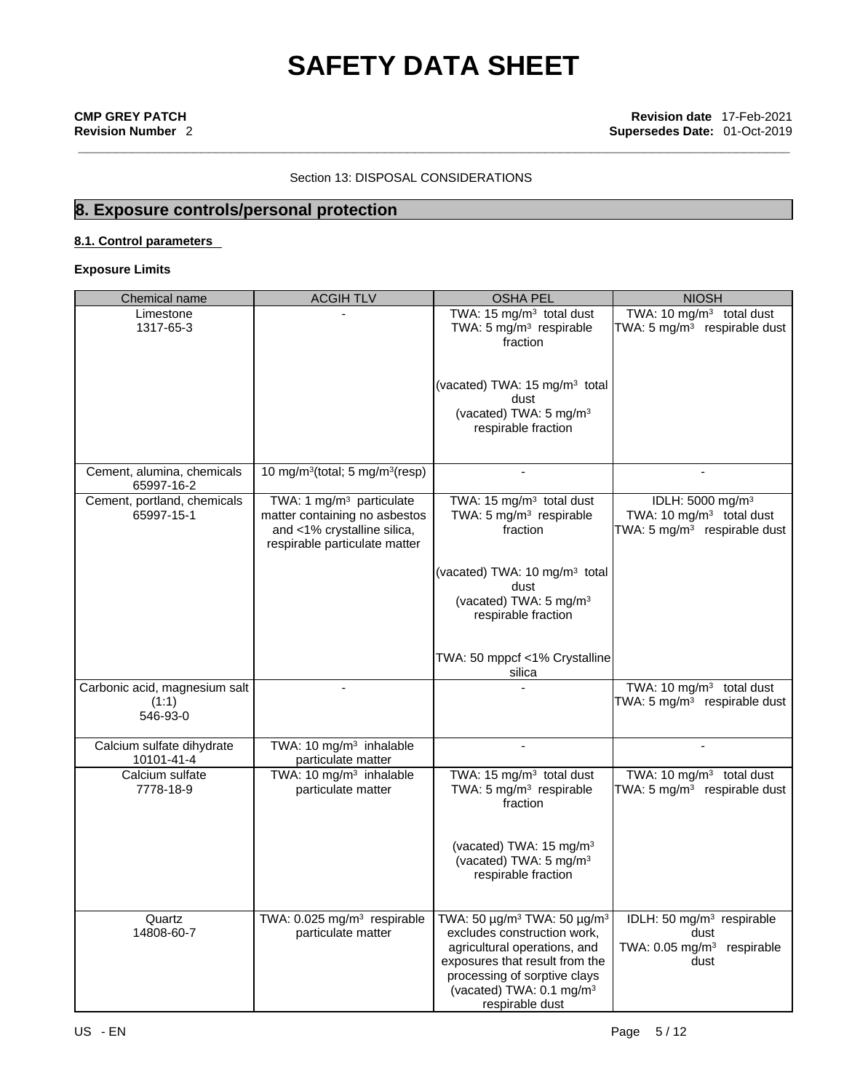## Section 13: DISPOSAL CONSIDERATIONS

## **8. Exposure controls/personal protection**

## **8.1. Control parameters**

**Exposure Limits**

| Chemical name                                      | <b>ACGIH TLV</b>                                                                                                                      | <b>OSHA PEL</b>                                                                                                                                                                                                                                 | <b>NIOSH</b>                                                                                           |
|----------------------------------------------------|---------------------------------------------------------------------------------------------------------------------------------------|-------------------------------------------------------------------------------------------------------------------------------------------------------------------------------------------------------------------------------------------------|--------------------------------------------------------------------------------------------------------|
| Limestone<br>1317-65-3                             |                                                                                                                                       | TWA: 15 mg/m <sup>3</sup> total dust<br>TWA: 5 mg/m <sup>3</sup> respirable<br>fraction                                                                                                                                                         | TWA: 10 $mg/m3$ total dust<br>TWA: 5 $mg/m3$ respirable dust                                           |
|                                                    |                                                                                                                                       | (vacated) TWA: 15 mg/m <sup>3</sup> total<br>dust<br>(vacated) TWA: 5 mg/m <sup>3</sup><br>respirable fraction                                                                                                                                  |                                                                                                        |
| Cement, alumina, chemicals<br>65997-16-2           | 10 mg/m <sup>3</sup> (total; 5 mg/m <sup>3</sup> (resp)                                                                               |                                                                                                                                                                                                                                                 |                                                                                                        |
| Cement, portland, chemicals<br>65997-15-1          | TWA: 1 mg/m <sup>3</sup> particulate<br>matter containing no asbestos<br>and <1% crystalline silica,<br>respirable particulate matter | TWA: 15 mg/m <sup>3</sup> total dust<br>TWA: 5 mg/m <sup>3</sup> respirable<br>fraction                                                                                                                                                         | IDLH: 5000 mg/m <sup>3</sup><br>TWA: 10 mg/m <sup>3</sup> total dust<br>TWA: 5 $mg/m3$ respirable dust |
|                                                    |                                                                                                                                       | (vacated) TWA: 10 mg/m <sup>3</sup> total<br>dust<br>(vacated) TWA: 5 mg/m <sup>3</sup><br>respirable fraction                                                                                                                                  |                                                                                                        |
|                                                    |                                                                                                                                       | TWA: 50 mppcf <1% Crystalline<br>silica                                                                                                                                                                                                         |                                                                                                        |
| Carbonic acid, magnesium salt<br>(1:1)<br>546-93-0 |                                                                                                                                       |                                                                                                                                                                                                                                                 | TWA: 10 mg/m <sup>3</sup> total dust<br>TWA: 5 mg/m <sup>3</sup> respirable dust                       |
| Calcium sulfate dihydrate<br>10101-41-4            | TWA: 10 mg/m <sup>3</sup> inhalable<br>particulate matter                                                                             |                                                                                                                                                                                                                                                 |                                                                                                        |
| Calcium sulfate<br>7778-18-9                       | TWA: 10 mg/m <sup>3</sup> inhalable<br>particulate matter                                                                             | TWA: 15 mg/m <sup>3</sup> total dust<br>TWA: 5 mg/m <sup>3</sup> respirable<br>fraction                                                                                                                                                         | TWA: 10 mg/m <sup>3</sup> total dust<br>TWA: 5 $mg/m3$ respirable dust                                 |
|                                                    |                                                                                                                                       | (vacated) TWA: 15 mg/m <sup>3</sup><br>(vacated) TWA: 5 mg/m <sup>3</sup><br>respirable fraction                                                                                                                                                |                                                                                                        |
| Quartz<br>14808-60-7                               | TWA: 0.025 mg/m <sup>3</sup> respirable<br>particulate matter                                                                         | TWA: 50 µg/m <sup>3</sup> TWA: 50 µg/m <sup>3</sup><br>excludes construction work,<br>agricultural operations, and<br>exposures that result from the<br>processing of sorptive clays<br>(vacated) TWA: 0.1 mg/m <sup>3</sup><br>respirable dust | IDLH: 50 mg/m <sup>3</sup> respirable<br>dust<br>TWA: 0.05 mg/m <sup>3</sup> respirable<br>dust        |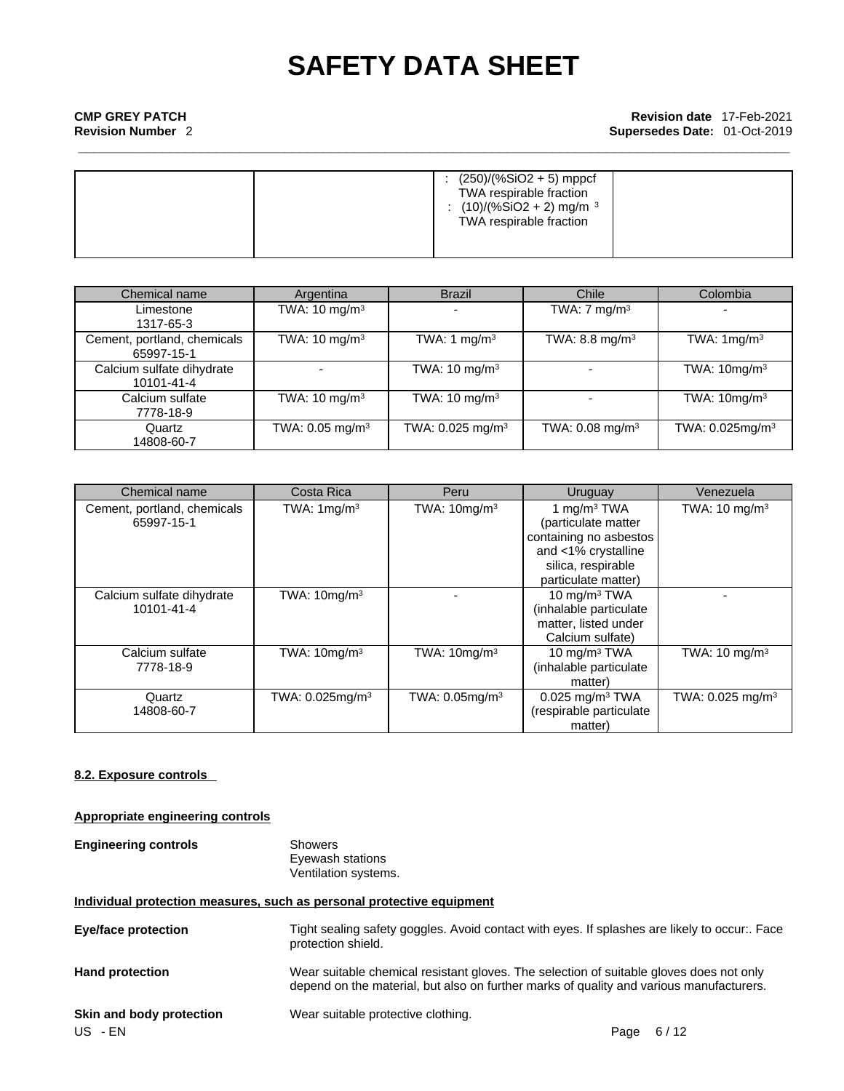|  | $(250)/(%SiO2 + 5)$ mppcf<br>TWA respirable fraction<br>: $(10)/(%SiO2 + 2)$ mg/m <sup>3</sup><br>TWA respirable fraction |
|--|---------------------------------------------------------------------------------------------------------------------------|
|--|---------------------------------------------------------------------------------------------------------------------------|

| Chemical name                             | Argentina                     | <b>Brazil</b>                | Chile                       | Colombia                       |
|-------------------------------------------|-------------------------------|------------------------------|-----------------------------|--------------------------------|
| Limestone<br>1317-65-3                    | TWA: 10 mg/m $3$              |                              | TWA: $7 \text{ mg/m}^3$     | $\overline{\phantom{a}}$       |
| Cement, portland, chemicals<br>65997-15-1 | TWA: 10 mg/m <sup>3</sup>     | TWA: 1 mg/m $3$              | TWA: 8.8 mg/m <sup>3</sup>  | TWA: $1mg/m3$                  |
| Calcium sulfate dihydrate<br>10101-41-4   |                               | TWA: 10 mg/m <sup>3</sup>    |                             | TWA: 10mg/m <sup>3</sup>       |
| Calcium sulfate<br>7778-18-9              | TWA: 10 mg/m $3$              | TWA: $10 \text{ mg/m}^3$     |                             | TWA: $10mg/m3$                 |
| Quartz<br>14808-60-7                      | TWA: $0.05$ mg/m <sup>3</sup> | TWA: 0.025 mg/m <sup>3</sup> | TWA: 0.08 mg/m <sup>3</sup> | TWA: $0.025$ mg/m <sup>3</sup> |

| Chemical name                             | Costa Rica             | Peru                 | Uruguay                                                                                                                             | Venezuela                    |
|-------------------------------------------|------------------------|----------------------|-------------------------------------------------------------------------------------------------------------------------------------|------------------------------|
| Cement, portland, chemicals<br>65997-15-1 | TWA: $1 \text{mg/m}^3$ | TWA: $10mg/m3$       | 1 mg/m $3$ TWA<br>(particulate matter<br>containing no asbestos<br>and <1% crystalline<br>silica, respirable<br>particulate matter) | TWA: 10 mg/m $3$             |
| Calcium sulfate dihydrate<br>10101-41-4   | TWA: $10mg/m3$         |                      | 10 mg/m $3$ TWA<br>(inhalable particulate<br>matter, listed under<br>Calcium sulfate)                                               |                              |
| Calcium sulfate<br>7778-18-9              | TWA: $10mg/m3$         | TWA: $10$ mg/m $3$   | 10 mg/m $3$ TWA<br>(inhalable particulate<br>matter)                                                                                | TWA: $10 \text{ mg/m}^3$     |
| Quartz<br>14808-60-7                      | TWA: $0.025$ mg/m $3$  | TWA: $0.05$ mg/m $3$ | $0.025$ mg/m <sup>3</sup> TWA<br>(respirable particulate<br>matter)                                                                 | TWA: 0.025 mg/m <sup>3</sup> |

## **8.2. Exposure controls**

## **Appropriate engineering controls**

| <b>Engineering controls</b> | Showers              |  |
|-----------------------------|----------------------|--|
|                             | Eyewash stations     |  |
|                             | Ventilation systems. |  |

## **Individual protection measures, such as personal protective equipment**

| <b>Eye/face protection</b> | Tight sealing safety goggles. Avoid contact with eyes. If splashes are likely to occur:. Face<br>protection shield.                                                                |
|----------------------------|------------------------------------------------------------------------------------------------------------------------------------------------------------------------------------|
| <b>Hand protection</b>     | Wear suitable chemical resistant gloves. The selection of suitable gloves does not only<br>depend on the material, but also on further marks of quality and various manufacturers. |
| Skin and body protection   | Wear suitable protective clothing.                                                                                                                                                 |
| US - EN                    | 6/12<br>Page                                                                                                                                                                       |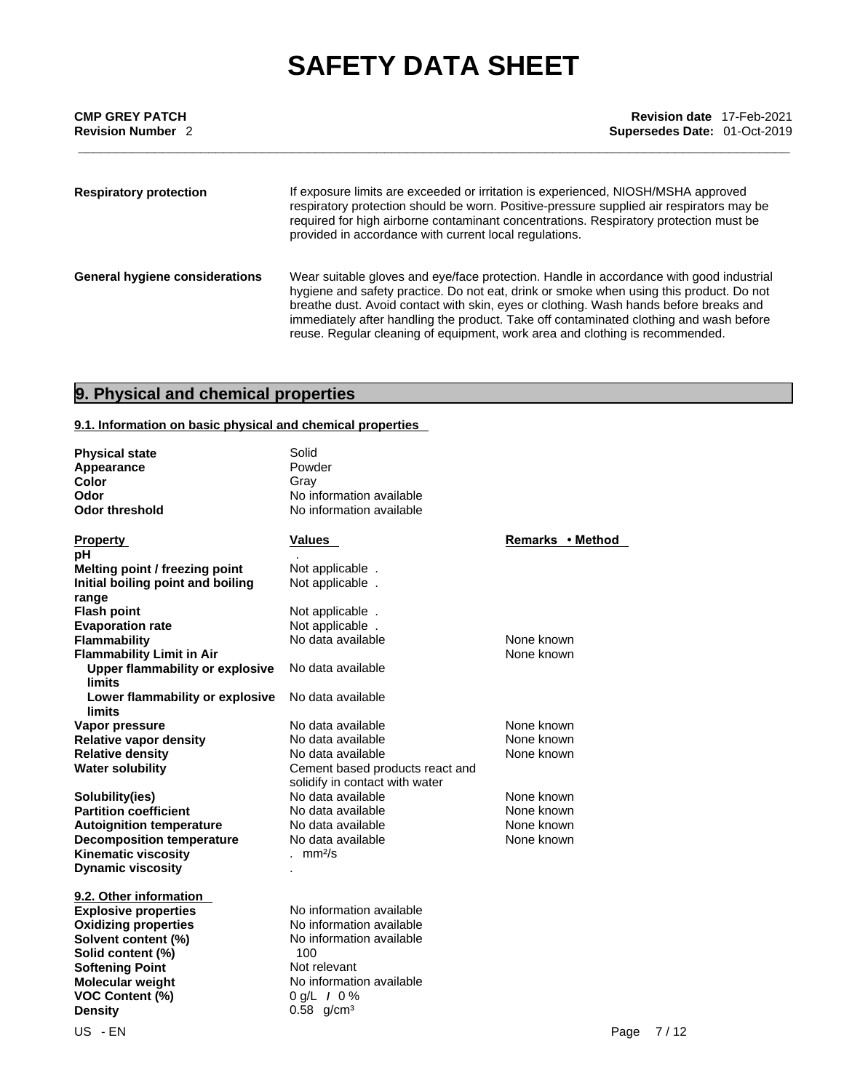| <b>CMP GREY PATCH</b><br><b>Revision Number 2</b> | Revision date 17-Feb-2021<br>Supersedes Date: 01-Oct-2019                                                                                                                                                                                                                                                                                                                                                                                             |
|---------------------------------------------------|-------------------------------------------------------------------------------------------------------------------------------------------------------------------------------------------------------------------------------------------------------------------------------------------------------------------------------------------------------------------------------------------------------------------------------------------------------|
| <b>Respiratory protection</b>                     | If exposure limits are exceeded or irritation is experienced, NIOSH/MSHA approved<br>respiratory protection should be worn. Positive-pressure supplied air respirators may be<br>required for high airborne contaminant concentrations. Respiratory protection must be<br>provided in accordance with current local regulations.                                                                                                                      |
| General hygiene considerations                    | Wear suitable gloves and eye/face protection. Handle in accordance with good industrial<br>hygiene and safety practice. Do not eat, drink or smoke when using this product. Do not<br>breathe dust. Avoid contact with skin, eyes or clothing. Wash hands before breaks and<br>immediately after handling the product. Take off contaminated clothing and wash before<br>reuse. Regular cleaning of equipment, work area and clothing is recommended. |

## **9. Physical and chemical properties**

## **9.1. Information on basic physical and chemical properties**

| <b>Physical state</b><br>Appearance<br>Color<br>Odor<br><b>Odor threshold</b> | Solid<br>Powder<br>Grav<br>No information available<br>No information available |                  |  |
|-------------------------------------------------------------------------------|---------------------------------------------------------------------------------|------------------|--|
| <b>Property</b>                                                               | Values                                                                          | Remarks • Method |  |
| рH                                                                            |                                                                                 |                  |  |
| Melting point / freezing point                                                | Not applicable.                                                                 |                  |  |
| Initial boiling point and boiling                                             | Not applicable.                                                                 |                  |  |
| range<br><b>Flash point</b>                                                   |                                                                                 |                  |  |
| <b>Evaporation rate</b>                                                       | Not applicable.<br>Not applicable.                                              |                  |  |
| <b>Flammability</b>                                                           | No data available                                                               | None known       |  |
| <b>Flammability Limit in Air</b>                                              |                                                                                 | None known       |  |
| <b>Upper flammability or explosive</b><br>limits                              | No data available                                                               |                  |  |
| Lower flammability or explosive<br>limits                                     | No data available                                                               |                  |  |
| Vapor pressure                                                                | No data available                                                               | None known       |  |
| <b>Relative vapor density</b>                                                 | No data available                                                               | None known       |  |
| <b>Relative density</b>                                                       | No data available                                                               | None known       |  |
| <b>Water solubility</b>                                                       | Cement based products react and                                                 |                  |  |
|                                                                               | solidify in contact with water                                                  |                  |  |
| Solubility(ies)                                                               | No data available                                                               | None known       |  |
| <b>Partition coefficient</b>                                                  | No data available                                                               | None known       |  |
| <b>Autoignition temperature</b>                                               | No data available                                                               | None known       |  |
| <b>Decomposition temperature</b>                                              | No data available                                                               | None known       |  |
| <b>Kinematic viscosity</b>                                                    | . $mm2/s$                                                                       |                  |  |
| <b>Dynamic viscosity</b>                                                      |                                                                                 |                  |  |
|                                                                               |                                                                                 |                  |  |
| 9.2. Other information                                                        |                                                                                 |                  |  |
| <b>Explosive properties</b>                                                   | No information available                                                        |                  |  |
| <b>Oxidizing properties</b>                                                   | No information available                                                        |                  |  |
| Solvent content (%)                                                           | No information available                                                        |                  |  |
| Solid content (%)                                                             | 100                                                                             |                  |  |
| <b>Softening Point</b>                                                        | Not relevant                                                                    |                  |  |
| Molecular weight                                                              | No information available                                                        |                  |  |
| <b>VOC Content (%)</b>                                                        | $0 g/L$ / $0 %$                                                                 |                  |  |
| <b>Density</b>                                                                | $0.58$ g/cm <sup>3</sup>                                                        |                  |  |
| US - EN                                                                       |                                                                                 | 7/12<br>Page     |  |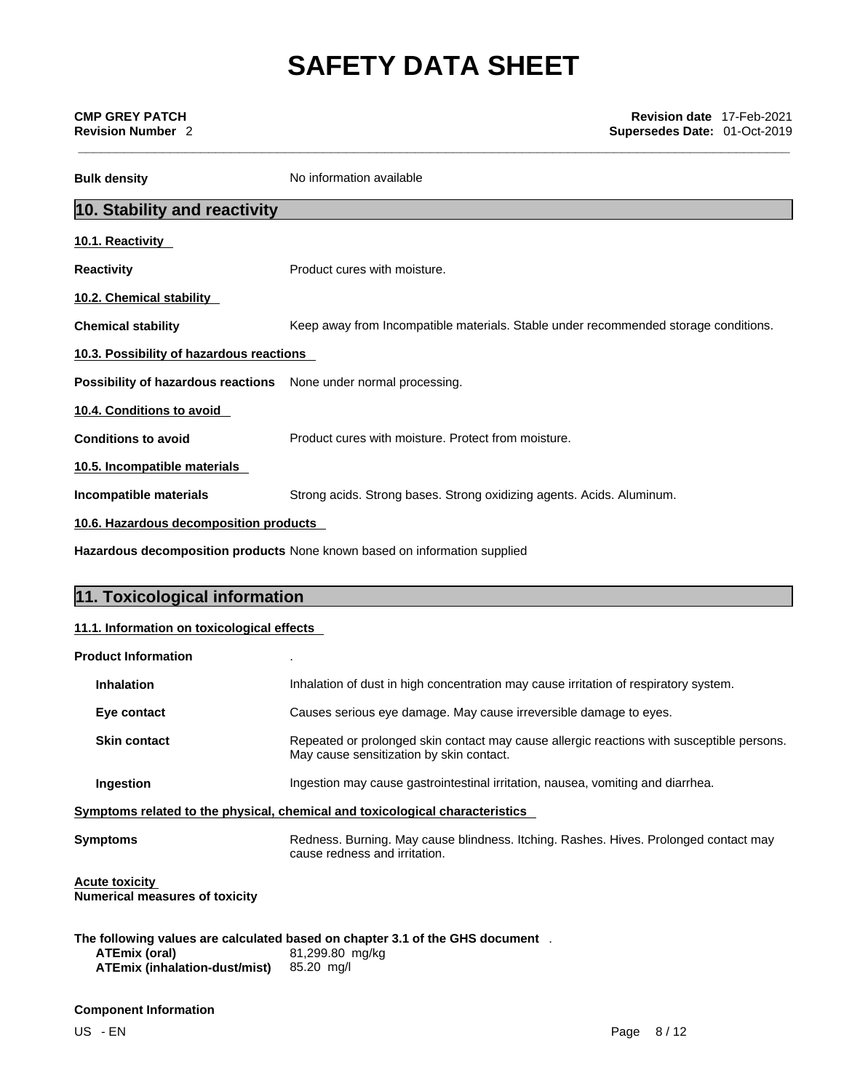| <b>CMP GREY PATCH</b><br><b>Revision Number 2</b>                                                                                                                                                                                     | <b>Revision date 17-Feb-2021</b><br>Supersedes Date: 01-Oct-2019                    |  |  |
|---------------------------------------------------------------------------------------------------------------------------------------------------------------------------------------------------------------------------------------|-------------------------------------------------------------------------------------|--|--|
| <b>Bulk density</b>                                                                                                                                                                                                                   | No information available                                                            |  |  |
| 10. Stability and reactivity                                                                                                                                                                                                          |                                                                                     |  |  |
| 10.1. Reactivity                                                                                                                                                                                                                      |                                                                                     |  |  |
| <b>Reactivity</b>                                                                                                                                                                                                                     | Product cures with moisture.                                                        |  |  |
| 10.2. Chemical stability                                                                                                                                                                                                              |                                                                                     |  |  |
| <b>Chemical stability</b>                                                                                                                                                                                                             | Keep away from Incompatible materials. Stable under recommended storage conditions. |  |  |
| 10.3. Possibility of hazardous reactions                                                                                                                                                                                              |                                                                                     |  |  |
| Possibility of hazardous reactions None under normal processing.                                                                                                                                                                      |                                                                                     |  |  |
| 10.4. Conditions to avoid                                                                                                                                                                                                             |                                                                                     |  |  |
| <b>Conditions to avoid</b>                                                                                                                                                                                                            | Product cures with moisture. Protect from moisture.                                 |  |  |
| 10.5. Incompatible materials                                                                                                                                                                                                          |                                                                                     |  |  |
| Incompatible materials                                                                                                                                                                                                                | Strong acids. Strong bases. Strong oxidizing agents. Acids. Aluminum.               |  |  |
| $\mathbf{a}$ and $\mathbf{a}$ are the contract of the contract of the contract of the contract of the contract of the contract of the contract of the contract of the contract of the contract of the contract of the contract of the | . .                                                                                 |  |  |

**10.6. Hazardous decomposition products** 

**Hazardous decomposition products** None known based on information supplied

| 11. Toxicological information              |                                                                                                                                       |  |
|--------------------------------------------|---------------------------------------------------------------------------------------------------------------------------------------|--|
| 11.1. Information on toxicological effects |                                                                                                                                       |  |
| <b>Product Information</b>                 |                                                                                                                                       |  |
| <b>Inhalation</b>                          | Inhalation of dust in high concentration may cause irritation of respiratory system.                                                  |  |
| Eye contact                                | Causes serious eye damage. May cause irreversible damage to eyes.                                                                     |  |
| <b>Skin contact</b>                        | Repeated or prolonged skin contact may cause allergic reactions with susceptible persons.<br>May cause sensitization by skin contact. |  |
| Ingestion                                  | Ingestion may cause gastrointestinal irritation, nausea, vomiting and diarrhea.                                                       |  |
|                                            | Symptoms related to the physical, chemical and toxicological characteristics                                                          |  |
| <b>Symptoms</b>                            | Redness. Burning. May cause blindness. Itching. Rashes. Hives. Prolonged contact may<br>cause redness and irritation.                 |  |

**Acute toxicity Numerical measures of toxicity**

**The following values are calculated based on chapter 3.1 of the GHS document** .**ATEmix (oral)** 81,299.80 mg/kg **ATEmix (inhalation-dust/mist)** 

## **Component Information**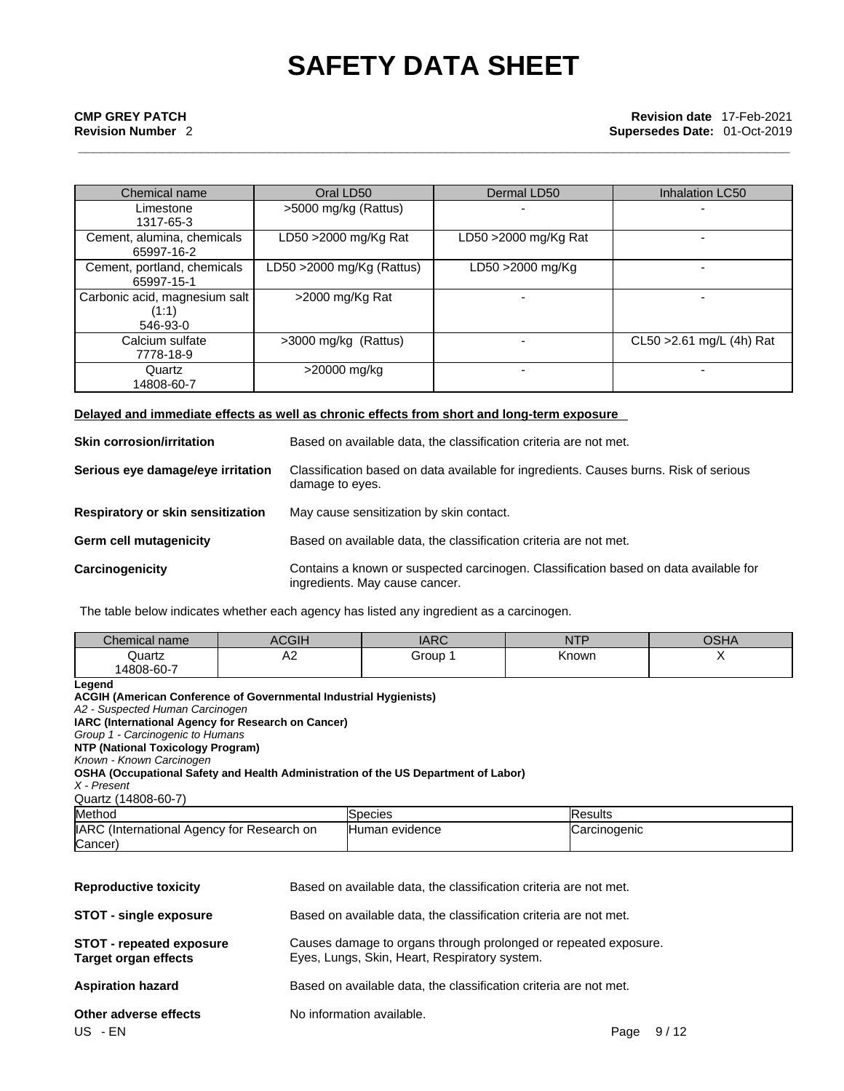| Chemical name                                      | Oral LD50                  | Dermal LD50          | <b>Inhalation LC50</b>    |
|----------------------------------------------------|----------------------------|----------------------|---------------------------|
| Limestone<br>1317-65-3                             | >5000 mg/kg (Rattus)       |                      |                           |
| Cement, alumina, chemicals<br>65997-16-2           | LD50 >2000 mg/Kg Rat       | LD50 >2000 mg/Kg Rat |                           |
| Cement, portland, chemicals<br>65997-15-1          | LD50 > 2000 mg/Kg (Rattus) | LD50 >2000 mg/Kg     |                           |
| Carbonic acid, magnesium salt<br>(1:1)<br>546-93-0 | >2000 mg/Kg Rat            |                      |                           |
| Calcium sulfate<br>7778-18-9                       | >3000 mg/kg (Rattus)       |                      | CL50 > 2.61 mg/L (4h) Rat |
| Quartz<br>14808-60-7                               | >20000 mg/kg               |                      |                           |

## **Delayed and immediate effects as well as chronic effects from short and long-term exposure**

| <b>Skin corrosion/irritation</b>  | Based on available data, the classification criteria are not met.                                                      |
|-----------------------------------|------------------------------------------------------------------------------------------------------------------------|
| Serious eye damage/eye irritation | Classification based on data available for ingredients. Causes burns. Risk of serious<br>damage to eyes.               |
| Respiratory or skin sensitization | May cause sensitization by skin contact.                                                                               |
| <b>Germ cell mutagenicity</b>     | Based on available data, the classification criteria are not met.                                                      |
| Carcinogenicity                   | Contains a known or suspected carcinogen. Classification based on data available for<br>ingredients. May cause cancer. |

The table below indicates whether each agency has listed any ingredient as a carcinogen.

| Chemical name | ACGIH | $\Lambda$ D $\Omega$<br><b>IARU</b> | $-$<br>. | $\sim$ $\sim$ $\sim$<br>JSMA |
|---------------|-------|-------------------------------------|----------|------------------------------|
| Quartz        | ∼     | Group                               | Known    |                              |
| 14808-60-7    |       |                                     |          |                              |

**Legend** 

| A2 - Suspected Human Carcinogen<br>IARC (International Agency for Research on Cancer)<br>Group 1 - Carcinogenic to Humans<br>NTP (National Toxicology Program)<br>Known - Known Carcinogen<br>OSHA (Occupational Safety and Health Administration of the US Department of Labor) |  |
|----------------------------------------------------------------------------------------------------------------------------------------------------------------------------------------------------------------------------------------------------------------------------------|--|
|                                                                                                                                                                                                                                                                                  |  |
|                                                                                                                                                                                                                                                                                  |  |
|                                                                                                                                                                                                                                                                                  |  |
|                                                                                                                                                                                                                                                                                  |  |
|                                                                                                                                                                                                                                                                                  |  |
|                                                                                                                                                                                                                                                                                  |  |
| X - Present                                                                                                                                                                                                                                                                      |  |
| Quartz (14808-60-7)                                                                                                                                                                                                                                                              |  |
| Method<br><b>Results</b><br>Species                                                                                                                                                                                                                                              |  |
| Human evidence<br>IARC (International Agency for Research on<br>Carcinogenic                                                                                                                                                                                                     |  |
| Cancer)                                                                                                                                                                                                                                                                          |  |
|                                                                                                                                                                                                                                                                                  |  |

| <b>Reproductive toxicity</b>                                   | Based on available data, the classification criteria are not met.                                                |  |  |
|----------------------------------------------------------------|------------------------------------------------------------------------------------------------------------------|--|--|
| <b>STOT - single exposure</b>                                  | Based on available data, the classification criteria are not met.                                                |  |  |
| <b>STOT - repeated exposure</b><br><b>Target organ effects</b> | Causes damage to organs through prolonged or repeated exposure.<br>Eyes, Lungs, Skin, Heart, Respiratory system. |  |  |
| <b>Aspiration hazard</b>                                       | Based on available data, the classification criteria are not met.                                                |  |  |
| Other adverse effects<br>US - EN                               | No information available.<br>9/12<br>Page                                                                        |  |  |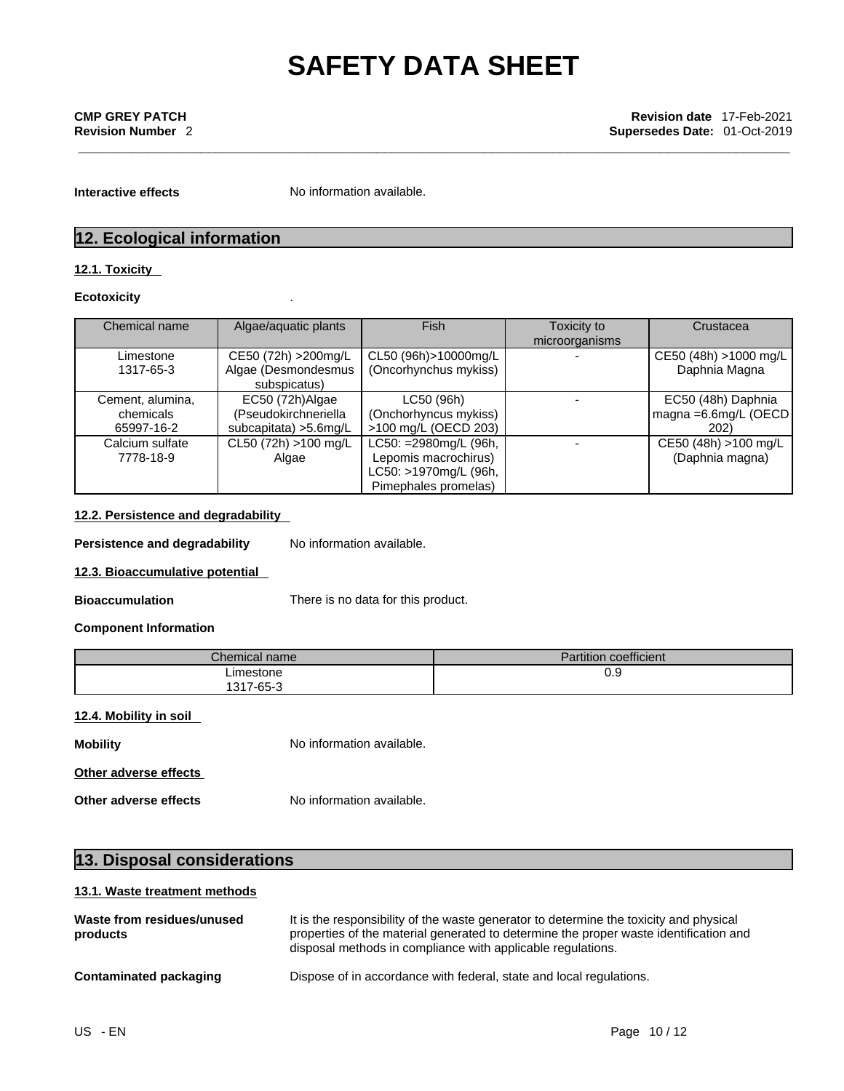**Interactive effects** No information available.

## **12. Ecological information**

## **12.1. Toxicity**

## **Ecotoxicity** .

| Chemical name                               | Algae/aquatic plants                                              | Fish                                                                                           | Toxicity to<br>microorganisms | Crustacea                                                     |
|---------------------------------------------|-------------------------------------------------------------------|------------------------------------------------------------------------------------------------|-------------------------------|---------------------------------------------------------------|
| Limestone<br>1317-65-3                      | CE50 (72h) > 200mg/L<br>Algae (Desmondesmus<br>subspicatus)       | CL50 (96h)>10000mg/L<br>(Oncorhynchus mykiss)                                                  |                               | CE50 (48h) >1000 mg/L<br>Daphnia Magna                        |
| Cement, alumina,<br>chemicals<br>65997-16-2 | EC50 (72h)Algae<br>(Pseudokirchneriella<br>subcapitata) > 5.6mg/L | LC50 (96h)<br>(Onchorhyncus mykiss)<br>>100 mg/L (OECD 203)                                    |                               | EC50 (48h) Daphnia<br>magna = $6.6$ mg/L (OECD)<br><b>202</b> |
| Calcium sulfate<br>7778-18-9                | CL50 (72h) >100 mg/L<br>Algae                                     | LC50: =2980mg/L (96h,<br>Lepomis macrochirus)<br>LC50: >1970mg/L (96h,<br>Pimephales promelas) |                               | CE50 (48h) >100 mg/L<br>(Daphnia magna)                       |

## **12.2. Persistence and degradability**

**Persistence and degradability** No information available.

**12.3. Bioaccumulative potential**

**Bioaccumulation** There is no data for this product.

## **Component Information**

| $\sim$<br><i>L</i> hemical name∵ | <b>Partition coefficient</b> |
|----------------------------------|------------------------------|
| ∟imestone                        | $_{0.9}$                     |
| 1317-65-3                        |                              |

## **12.4. Mobility in soil**

**Mobility** Moinformation available. **Other adverse effects Other adverse effects** No information available.

## **13. Disposal considerations**

## **13.1. Waste treatment methods**

| Waste from residues/unused<br>products | It is the responsibility of the waste generator to determine the toxicity and physical<br>properties of the material generated to determine the proper waste identification and<br>disposal methods in compliance with applicable regulations. |
|----------------------------------------|------------------------------------------------------------------------------------------------------------------------------------------------------------------------------------------------------------------------------------------------|
| Contaminated packaging                 | Dispose of in accordance with federal, state and local regulations.                                                                                                                                                                            |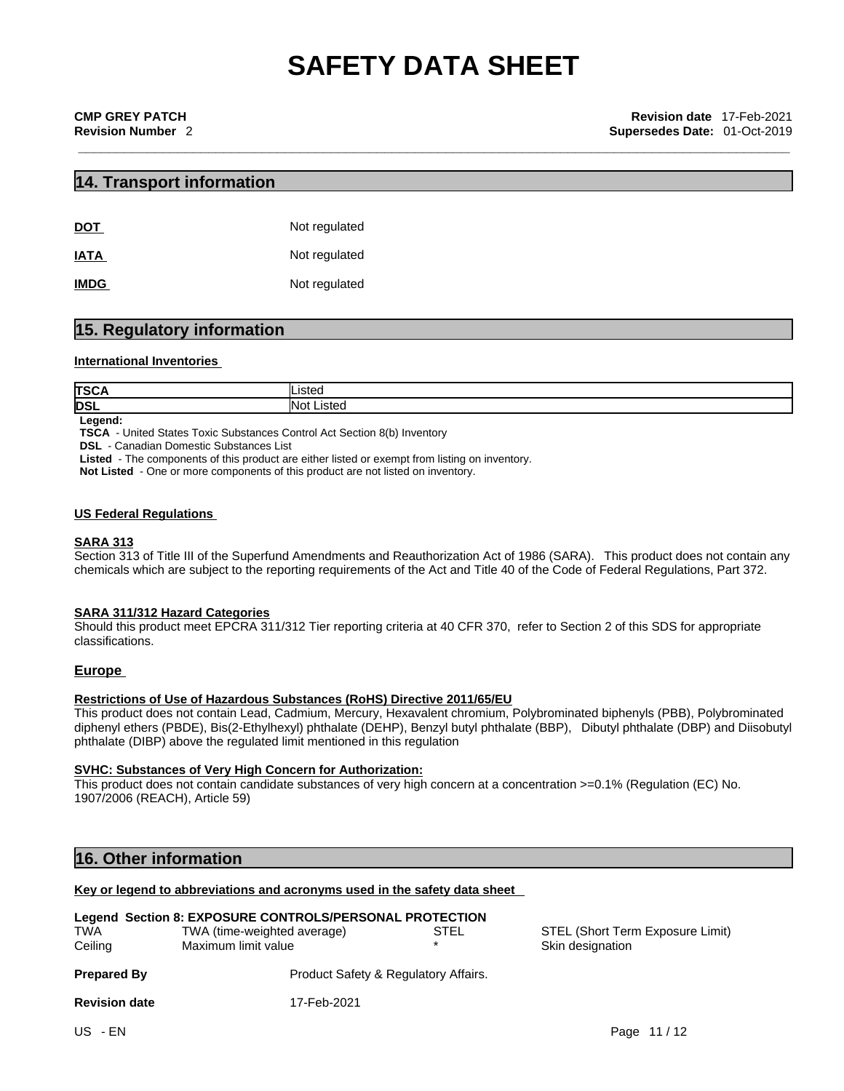## **14. Transport information**

| <b>DOT</b>  | Not regulated |
|-------------|---------------|
| <b>IATA</b> | Not regulated |
| <b>IMDG</b> | Not regulated |

## **15. Regulatory information**

## **International Inventories**

| TS(        | .            |
|------------|--------------|
| <b>DSL</b> | <b>ISTAC</b> |

**Legend:**

**TSCA** - United States Toxic Substances Control Act Section 8(b) Inventory

**DSL** - Canadian Domestic Substances List

**Listed** - The components of this product are either listed or exempt from listing on inventory.

**Not Listed** - One or more components of this product are not listed on inventory.

## **US Federal Regulations**

## **SARA 313**

Section 313 of Title III of the Superfund Amendments and Reauthorization Act of 1986 (SARA). This product does not contain any chemicals which are subject to the reporting requirements of the Act and Title 40 of the Code of Federal Regulations, Part 372.

## **SARA 311/312 Hazard Categories**

Should this product meet EPCRA 311/312 Tier reporting criteria at 40 CFR 370, refer to Section 2 of this SDS for appropriate classifications.

## **Europe**

## **Restrictions of Use of Hazardous Substances (RoHS) Directive 2011/65/EU**

This product does not contain Lead, Cadmium, Mercury, Hexavalent chromium, Polybrominated biphenyls (PBB), Polybrominated diphenyl ethers (PBDE), Bis(2-Ethylhexyl) phthalate (DEHP), Benzyl butyl phthalate (BBP), Dibutyl phthalate (DBP) and Diisobutyl phthalate (DIBP) above the regulated limit mentioned in this regulation

## **SVHC: Substances of Very High Concern for Authorization:**

This product does not contain candidate substances of very high concern at a concentration >=0.1% (Regulation (EC) No. 1907/2006 (REACH), Article 59)

## **16. Other information**

## **Key or legend to abbreviations and acronyms used in the safety data sheet**

| <b>TWA</b><br>Ceiling | Legend Section 8: EXPOSURE CONTROLS/PERSONAL PROTECTION<br>TWA (time-weighted average)<br>Maximum limit value | STEL | STEL (Short Term Exposure Limit)<br>Skin designation |
|-----------------------|---------------------------------------------------------------------------------------------------------------|------|------------------------------------------------------|
| <b>Prepared By</b>    | Product Safety & Regulatory Affairs.                                                                          |      |                                                      |
| <b>Revision date</b>  | 17-Feb-2021                                                                                                   |      |                                                      |